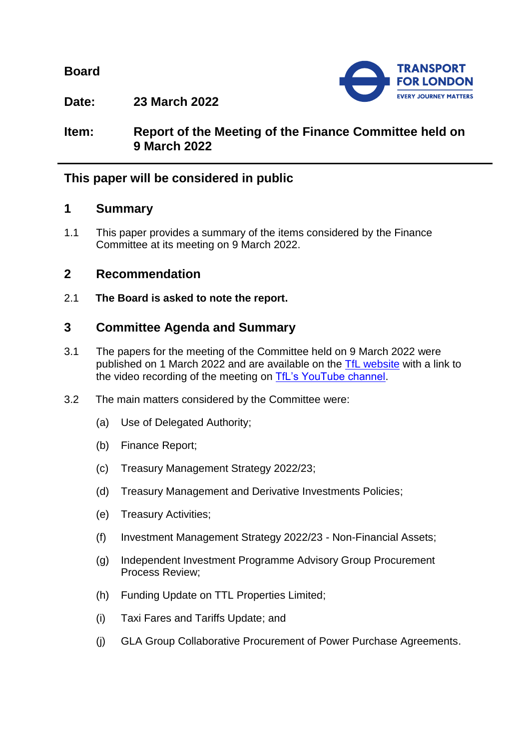**Board**



**Date: 23 March 2022**

# **Item: Report of the Meeting of the Finance Committee held on 9 March 2022**

# **This paper will be considered in public**

## **1 Summary**

1.1 This paper provides a summary of the items considered by the Finance Committee at its meeting on 9 March 2022.

# **2 Recommendation**

2.1 **The Board is asked to note the report.**

# **3 Committee Agenda and Summary**

- 3.1 The papers for the meeting of the Committee held on 9 March 2022 were published on 1 March 2022 and are available on the [TfL website](https://board.tfl.gov.uk/uuCoverPage.aspx?bcr=1) with a link to the video recording of the meeting on [TfL's YouTube channel.](https://www.youtube.com/playlist?list=PLtnlusA0Zoggk4qvN68OcnD9k_7B8cY_d)
- 3.2 The main matters considered by the Committee were:
	- (a) Use of Delegated Authority;
	- (b) Finance Report;
	- (c) Treasury Management Strategy 2022/23;
	- (d) Treasury Management and Derivative Investments Policies;
	- (e) Treasury Activities;
	- (f) Investment Management Strategy 2022/23 Non-Financial Assets;
	- (g) Independent Investment Programme Advisory Group Procurement Process Review;
	- (h) Funding Update on TTL Properties Limited;
	- (i) Taxi Fares and Tariffs Update; and
	- (j) GLA Group Collaborative Procurement of Power Purchase Agreements.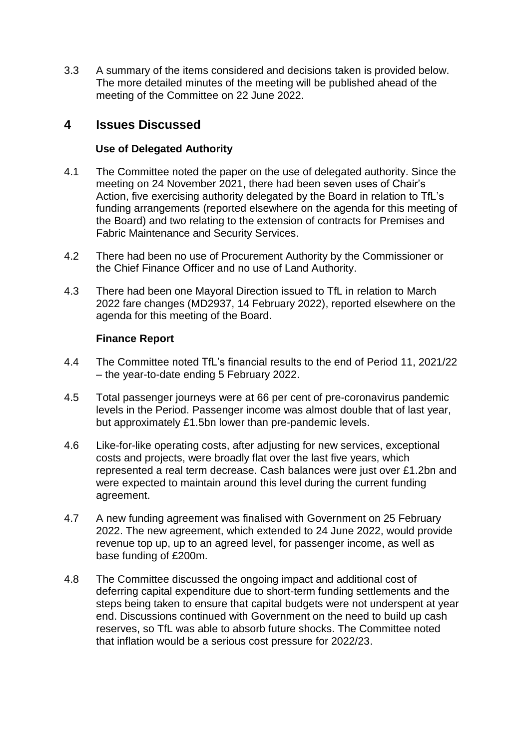3.3 A summary of the items considered and decisions taken is provided below. The more detailed minutes of the meeting will be published ahead of the meeting of the Committee on 22 June 2022.

## **4 Issues Discussed**

## **Use of Delegated Authority**

- 4.1 The Committee noted the paper on the use of delegated authority. Since the meeting on 24 November 2021, there had been seven uses of Chair's Action, five exercising authority delegated by the Board in relation to TfL's funding arrangements (reported elsewhere on the agenda for this meeting of the Board) and two relating to the extension of contracts for Premises and Fabric Maintenance and Security Services.
- 4.2 There had been no use of Procurement Authority by the Commissioner or the Chief Finance Officer and no use of Land Authority.
- 4.3 There had been one Mayoral Direction issued to TfL in relation to March 2022 fare changes (MD2937, 14 February 2022), reported elsewhere on the agenda for this meeting of the Board.

## **Finance Report**

- 4.4 The Committee noted TfL's financial results to the end of Period 11, 2021/22 – the year-to-date ending 5 February 2022.
- 4.5 Total passenger journeys were at 66 per cent of pre-coronavirus pandemic levels in the Period. Passenger income was almost double that of last year, but approximately £1.5bn lower than pre-pandemic levels.
- 4.6 Like-for-like operating costs, after adjusting for new services, exceptional costs and projects, were broadly flat over the last five years, which represented a real term decrease. Cash balances were just over £1.2bn and were expected to maintain around this level during the current funding agreement.
- 4.7 A new funding agreement was finalised with Government on 25 February 2022. The new agreement, which extended to 24 June 2022, would provide revenue top up, up to an agreed level, for passenger income, as well as base funding of £200m.
- 4.8 The Committee discussed the ongoing impact and additional cost of deferring capital expenditure due to short-term funding settlements and the steps being taken to ensure that capital budgets were not underspent at year end. Discussions continued with Government on the need to build up cash reserves, so TfL was able to absorb future shocks. The Committee noted that inflation would be a serious cost pressure for 2022/23.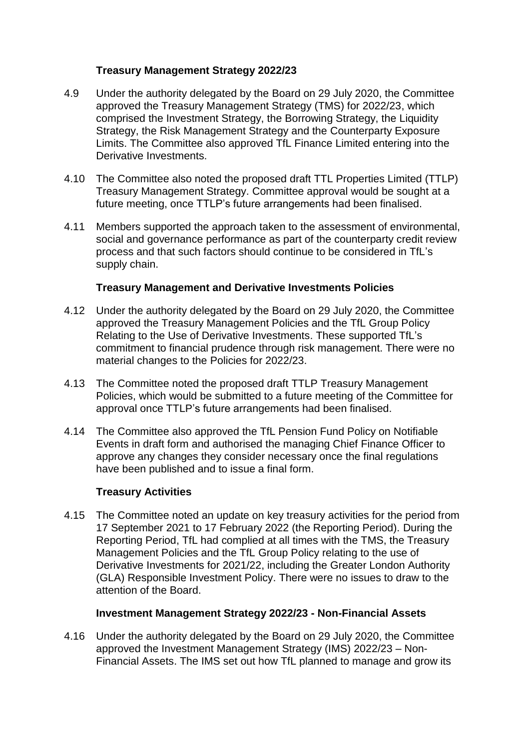## **Treasury Management Strategy 2022/23**

- 4.9 Under the authority delegated by the Board on 29 July 2020, the Committee approved the Treasury Management Strategy (TMS) for 2022/23, which comprised the Investment Strategy, the Borrowing Strategy, the Liquidity Strategy, the Risk Management Strategy and the Counterparty Exposure Limits. The Committee also approved TfL Finance Limited entering into the Derivative Investments.
- 4.10 The Committee also noted the proposed draft TTL Properties Limited (TTLP) Treasury Management Strategy. Committee approval would be sought at a future meeting, once TTLP's future arrangements had been finalised.
- 4.11 Members supported the approach taken to the assessment of environmental, social and governance performance as part of the counterparty credit review process and that such factors should continue to be considered in TfL's supply chain.

## **Treasury Management and Derivative Investments Policies**

- 4.12 Under the authority delegated by the Board on 29 July 2020, the Committee approved the Treasury Management Policies and the TfL Group Policy Relating to the Use of Derivative Investments. These supported TfL's commitment to financial prudence through risk management. There were no material changes to the Policies for 2022/23.
- 4.13 The Committee noted the proposed draft TTLP Treasury Management Policies, which would be submitted to a future meeting of the Committee for approval once TTLP's future arrangements had been finalised.
- 4.14 The Committee also approved the TfL Pension Fund Policy on Notifiable Events in draft form and authorised the managing Chief Finance Officer to approve any changes they consider necessary once the final regulations have been published and to issue a final form.

### **Treasury Activities**

4.15 The Committee noted an update on key treasury activities for the period from 17 September 2021 to 17 February 2022 (the Reporting Period). During the Reporting Period, TfL had complied at all times with the TMS, the Treasury Management Policies and the TfL Group Policy relating to the use of Derivative Investments for 2021/22, including the Greater London Authority (GLA) Responsible Investment Policy. There were no issues to draw to the attention of the Board.

### **Investment Management Strategy 2022/23 - Non-Financial Assets**

4.16 Under the authority delegated by the Board on 29 July 2020, the Committee approved the Investment Management Strategy (IMS) 2022/23 – Non-Financial Assets. The IMS set out how TfL planned to manage and grow its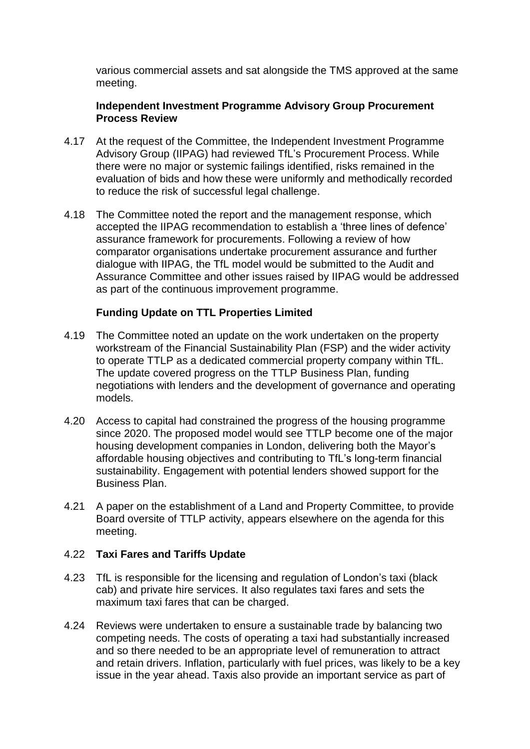various commercial assets and sat alongside the TMS approved at the same meeting.

### **Independent Investment Programme Advisory Group Procurement Process Review**

- 4.17 At the request of the Committee, the Independent Investment Programme Advisory Group (IIPAG) had reviewed TfL's Procurement Process. While there were no major or systemic failings identified, risks remained in the evaluation of bids and how these were uniformly and methodically recorded to reduce the risk of successful legal challenge.
- 4.18 The Committee noted the report and the management response, which accepted the IIPAG recommendation to establish a 'three lines of defence' assurance framework for procurements. Following a review of how comparator organisations undertake procurement assurance and further dialogue with IIPAG, the TfL model would be submitted to the Audit and Assurance Committee and other issues raised by IIPAG would be addressed as part of the continuous improvement programme.

## **Funding Update on TTL Properties Limited**

- 4.19 The Committee noted an update on the work undertaken on the property workstream of the Financial Sustainability Plan (FSP) and the wider activity to operate TTLP as a dedicated commercial property company within TfL. The update covered progress on the TTLP Business Plan, funding negotiations with lenders and the development of governance and operating models.
- 4.20 Access to capital had constrained the progress of the housing programme since 2020. The proposed model would see TTLP become one of the major housing development companies in London, delivering both the Mayor's affordable housing objectives and contributing to TfL's long-term financial sustainability. Engagement with potential lenders showed support for the Business Plan.
- 4.21 A paper on the establishment of a Land and Property Committee, to provide Board oversite of TTLP activity, appears elsewhere on the agenda for this meeting.

### 4.22 **Taxi Fares and Tariffs Update**

- 4.23 TfL is responsible for the licensing and regulation of London's taxi (black cab) and private hire services. It also regulates taxi fares and sets the maximum taxi fares that can be charged.
- 4.24 Reviews were undertaken to ensure a sustainable trade by balancing two competing needs. The costs of operating a taxi had substantially increased and so there needed to be an appropriate level of remuneration to attract and retain drivers. Inflation, particularly with fuel prices, was likely to be a key issue in the year ahead. Taxis also provide an important service as part of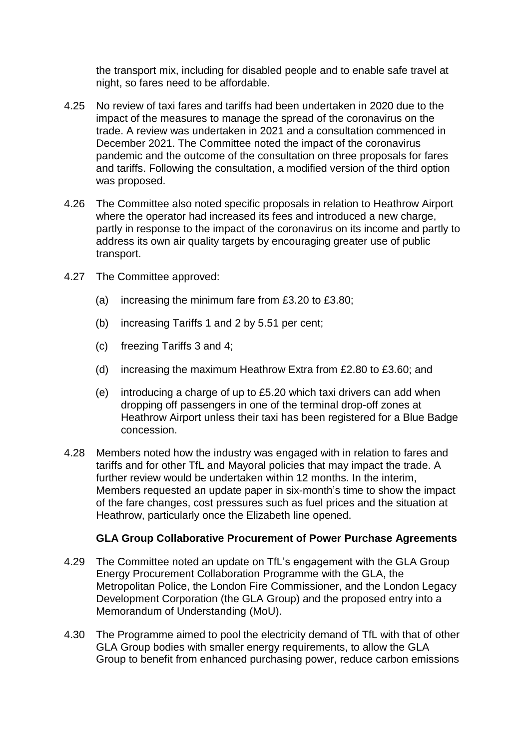the transport mix, including for disabled people and to enable safe travel at night, so fares need to be affordable.

- 4.25 No review of taxi fares and tariffs had been undertaken in 2020 due to the impact of the measures to manage the spread of the coronavirus on the trade. A review was undertaken in 2021 and a consultation commenced in December 2021. The Committee noted the impact of the coronavirus pandemic and the outcome of the consultation on three proposals for fares and tariffs. Following the consultation, a modified version of the third option was proposed.
- 4.26 The Committee also noted specific proposals in relation to Heathrow Airport where the operator had increased its fees and introduced a new charge, partly in response to the impact of the coronavirus on its income and partly to address its own air quality targets by encouraging greater use of public transport.
- 4.27 The Committee approved:
	- (a) increasing the minimum fare from £3.20 to £3.80;
	- (b) increasing Tariffs 1 and 2 by 5.51 per cent;
	- (c) freezing Tariffs 3 and 4;
	- (d) increasing the maximum Heathrow Extra from  $£2.80$  to  $£3.60$ ; and
	- (e) introducing a charge of up to £5.20 which taxi drivers can add when dropping off passengers in one of the terminal drop-off zones at Heathrow Airport unless their taxi has been registered for a Blue Badge concession.
- 4.28 Members noted how the industry was engaged with in relation to fares and tariffs and for other TfL and Mayoral policies that may impact the trade. A further review would be undertaken within 12 months. In the interim, Members requested an update paper in six-month's time to show the impact of the fare changes, cost pressures such as fuel prices and the situation at Heathrow, particularly once the Elizabeth line opened.

### **GLA Group Collaborative Procurement of Power Purchase Agreements**

- 4.29 The Committee noted an update on TfL's engagement with the GLA Group Energy Procurement Collaboration Programme with the GLA, the Metropolitan Police, the London Fire Commissioner, and the London Legacy Development Corporation (the GLA Group) and the proposed entry into a Memorandum of Understanding (MoU).
- 4.30 The Programme aimed to pool the electricity demand of TfL with that of other GLA Group bodies with smaller energy requirements, to allow the GLA Group to benefit from enhanced purchasing power, reduce carbon emissions